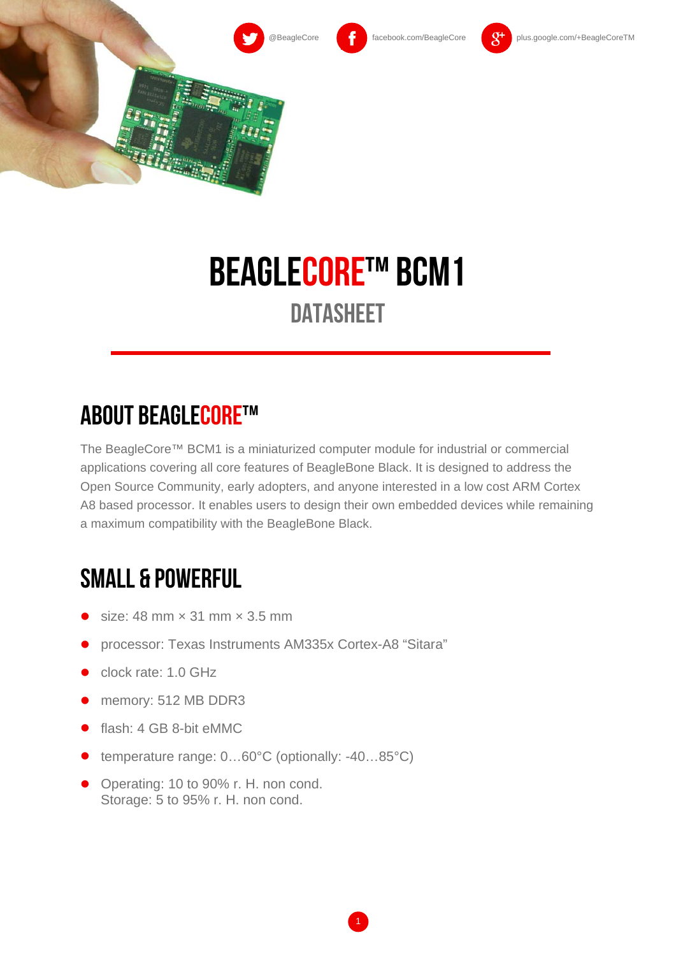



# BEAGLECORE™ BCM1 **DATASHEET**

#### **ABOUT BEAGLECORE™**

The BeagleCore™ BCM1 is a miniaturized computer module for industrial or commercial applications covering all core features of BeagleBone Black. It is designed to address the Open Source Community, early adopters, and anyone interested in a low cost ARM Cortex A8 based processor. It enables users to design their own embedded devices while remaining a maximum compatibility with the BeagleBone Black.

## small & powerful

- size: 48 mm × 31 mm × 3.5 mm
- processor: Texas Instruments AM335x Cortex-A8 "Sitara"
- clock rate: 1.0 GHz
- memory: 512 MB DDR3
- flash: 4 GB 8-bit eMMC
- temperature range: 0...60°C (optionally: -40...85°C)
- Operating: 10 to 90% r. H. non cond. Storage: 5 to 95% r. H. non cond.

1